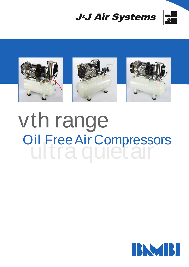





## vth range ultra quiet air Oil Free Air Compressors